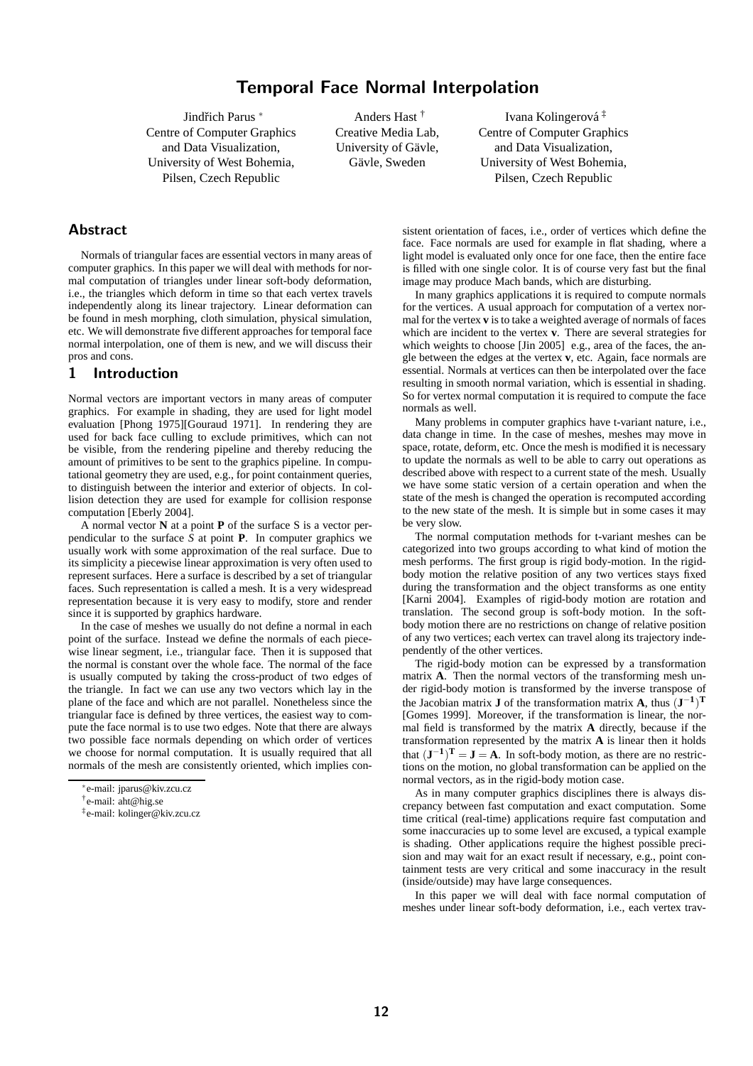Jindřich Parus <sup>\*</sup> Centre of Computer Graphics and Data Visualization, University of West Bohemia, Pilsen, Czech Republic

Anders Hast † Creative Media Lab, University of Gävle, Gävle, Sweden

Ivana Kolingerová<sup>‡</sup> Centre of Computer Graphics and Data Visualization, University of West Bohemia, Pilsen, Czech Republic

# Abstract

Normals of triangular faces are essential vectors in many areas of computer graphics. In this paper we will deal with methods for normal computation of triangles under linear soft-body deformation, i.e., the triangles which deform in time so that each vertex travels independently along its linear trajectory. Linear deformation can be found in mesh morphing, cloth simulation, physical simulation, etc. We will demonstrate five different approaches for temporal face normal interpolation, one of them is new, and we will discuss their pros and cons.

## 1 Introduction

Normal vectors are important vectors in many areas of computer graphics. For example in shading, they are used for light model evaluation [Phong 1975][Gouraud 1971]. In rendering they are used for back face culling to exclude primitives, which can not be visible, from the rendering pipeline and thereby reducing the amount of primitives to be sent to the graphics pipeline. In computational geometry they are used, e.g., for point containment queries, to distinguish between the interior and exterior of objects. In collision detection they are used for example for collision response computation [Eberly 2004].

A normal vector **N** at a point **P** of the surface S is a vector perpendicular to the surface  $\overline{S}$  at point **P**. In computer graphics we usually work with some approximation of the real surface. Due to its simplicity a piecewise linear approximation is very often used to represent surfaces. Here a surface is described by a set of triangular faces. Such representation is called a mesh. It is a very widespread representation because it is very easy to modify, store and render since it is supported by graphics hardware.

In the case of meshes we usually do not define a normal in each point of the surface. Instead we define the normals of each piecewise linear segment, i.e., triangular face. Then it is supposed that the normal is constant over the whole face. The normal of the face is usually computed by taking the cross-product of two edges of the triangle. In fact we can use any two vectors which lay in the plane of the face and which are not parallel. Nonetheless since the triangular face is defined by three vertices, the easiest way to compute the face normal is to use two edges. Note that there are always two possible face normals depending on which order of vertices we choose for normal computation. It is usually required that all normals of the mesh are consistently oriented, which implies consistent orientation of faces, i.e., order of vertices which define the face. Face normals are used for example in flat shading, where a light model is evaluated only once for one face, then the entire face is filled with one single color. It is of course very fast but the final image may produce Mach bands, which are disturbing.

In many graphics applications it is required to compute normals for the vertices. A usual approach for computation of a vertex normal for the vertex **v** is to take a weighted average of normals of faces which are incident to the vertex **v**. There are several strategies for which weights to choose [Jin 2005] e.g., area of the faces, the angle between the edges at the vertex **v**, etc. Again, face normals are essential. Normals at vertices can then be interpolated over the face resulting in smooth normal variation, which is essential in shading. So for vertex normal computation it is required to compute the face normals as well.

Many problems in computer graphics have t-variant nature, i.e., data change in time. In the case of meshes, meshes may move in space, rotate, deform, etc. Once the mesh is modified it is necessary to update the normals as well to be able to carry out operations as described above with respect to a current state of the mesh. Usually we have some static version of a certain operation and when the state of the mesh is changed the operation is recomputed according to the new state of the mesh. It is simple but in some cases it may be very slow.

The normal computation methods for t-variant meshes can be categorized into two groups according to what kind of motion the mesh performs. The first group is rigid body-motion. In the rigidbody motion the relative position of any two vertices stays fixed during the transformation and the object transforms as one entity [Karni 2004]. Examples of rigid-body motion are rotation and translation. The second group is soft-body motion. In the softbody motion there are no restrictions on change of relative position of any two vertices; each vertex can travel along its trajectory independently of the other vertices.

The rigid-body motion can be expressed by a transformation matrix **A**. Then the normal vectors of the transforming mesh under rigid-body motion is transformed by the inverse transpose of the Jacobian matrix **J** of the transformation matrix **A**, thus  $(\mathbf{J}^{-1})^T$ [Gomes 1999]. Moreover, if the transformation is linear, the normal field is transformed by the matrix **A** directly, because if the transformation represented by the matrix **A** is linear then it holds that  $(\mathbf{J}^{-1})^{\mathrm{T}} = \mathbf{J} = \mathbf{A}$ . In soft-body motion, as there are no restrictions on the motion, no global transformation can be applied on the normal vectors, as in the rigid-body motion case.

As in many computer graphics disciplines there is always discrepancy between fast computation and exact computation. Some time critical (real-time) applications require fast computation and some inaccuracies up to some level are excused, a typical example is shading. Other applications require the highest possible precision and may wait for an exact result if necessary, e.g., point containment tests are very critical and some inaccuracy in the result (inside/outside) may have large consequences.

In this paper we will deal with face normal computation of meshes under linear soft-body deformation, i.e., each vertex trav-

<sup>∗</sup> e-mail: jparus@kiv.zcu.cz

<sup>†</sup> e-mail: aht@hig.se

<sup>‡</sup> e-mail: kolinger@kiv.zcu.cz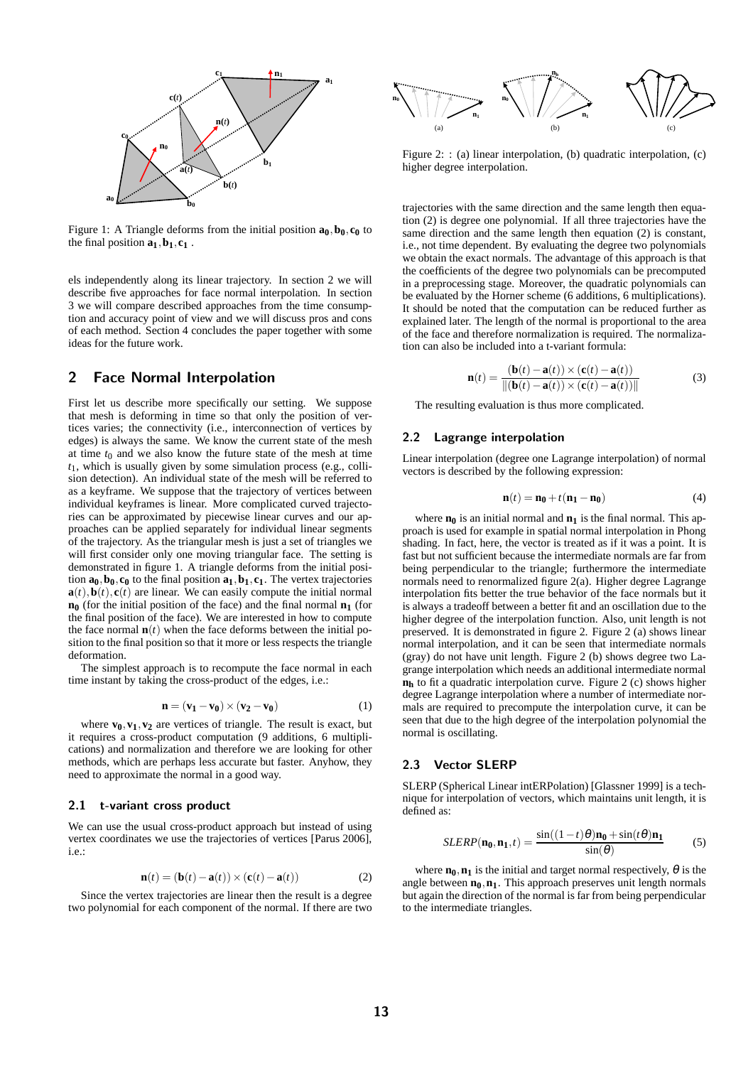

Figure 1: A Triangle deforms from the initial position  $\mathbf{a}_0, \mathbf{b}_0, \mathbf{c}_0$  to the final position  $\mathbf{a}_1, \mathbf{b}_1, \mathbf{c}_1$ .

els independently along its linear trajectory. In section 2 we will describe five approaches for face normal interpolation. In section 3 we will compare described approaches from the time consumption and accuracy point of view and we will discuss pros and cons of each method. Section 4 concludes the paper together with some ideas for the future work.

# 2 Face Normal Interpolation

First let us describe more specifically our setting. We suppose that mesh is deforming in time so that only the position of vertices varies; the connectivity (i.e., interconnection of vertices by edges) is always the same. We know the current state of the mesh at time  $t_0$  and we also know the future state of the mesh at time *t*1, which is usually given by some simulation process (e.g., collision detection). An individual state of the mesh will be referred to as a keyframe. We suppose that the trajectory of vertices between individual keyframes is linear. More complicated curved trajectories can be approximated by piecewise linear curves and our approaches can be applied separately for individual linear segments of the trajectory. As the triangular mesh is just a set of triangles we will first consider only one moving triangular face. The setting is demonstrated in figure 1. A triangle deforms from the initial position  $\mathbf{a}_0, \mathbf{b}_0, \mathbf{c}_0$  to the final position  $\mathbf{a}_1, \mathbf{b}_1, \mathbf{c}_1$ . The vertex trajectories  $\mathbf{a}(t)$ ,  $\mathbf{b}(t)$ ,  $\mathbf{c}(t)$  are linear. We can easily compute the initial normal **n<sup>0</sup>** (for the initial position of the face) and the final normal **n<sup>1</sup>** (for the final position of the face). We are interested in how to compute the face normal  $\mathbf{n}(t)$  when the face deforms between the initial position to the final position so that it more or less respects the triangle deformation.

The simplest approach is to recompute the face normal in each time instant by taking the cross-product of the edges, i.e.:

$$
\mathbf{n} = (\mathbf{v}_1 - \mathbf{v}_0) \times (\mathbf{v}_2 - \mathbf{v}_0) \tag{1}
$$

where  $\mathbf{v}_0, \mathbf{v}_1, \mathbf{v}_2$  are vertices of triangle. The result is exact, but it requires a cross-product computation (9 additions, 6 multiplications) and normalization and therefore we are looking for other methods, which are perhaps less accurate but faster. Anyhow, they need to approximate the normal in a good way.

#### 2.1 t-variant cross product

We can use the usual cross-product approach but instead of using vertex coordinates we use the trajectories of vertices [Parus 2006], i.e.:

$$
\mathbf{n}(t) = (\mathbf{b}(t) - \mathbf{a}(t)) \times (\mathbf{c}(t) - \mathbf{a}(t))
$$
 (2)

Since the vertex trajectories are linear then the result is a degree two polynomial for each component of the normal. If there are two



Figure 2: : (a) linear interpolation, (b) quadratic interpolation, (c) higher degree interpolation.

trajectories with the same direction and the same length then equation (2) is degree one polynomial. If all three trajectories have the same direction and the same length then equation (2) is constant, i.e., not time dependent. By evaluating the degree two polynomials we obtain the exact normals. The advantage of this approach is that the coefficients of the degree two polynomials can be precomputed in a preprocessing stage. Moreover, the quadratic polynomials can be evaluated by the Horner scheme (6 additions, 6 multiplications). It should be noted that the computation can be reduced further as explained later. The length of the normal is proportional to the area of the face and therefore normalization is required. The normalization can also be included into a t-variant formula:

$$
\mathbf{n}(t) = \frac{(\mathbf{b}(t) - \mathbf{a}(t)) \times (\mathbf{c}(t) - \mathbf{a}(t))}{\|(\mathbf{b}(t) - \mathbf{a}(t)) \times (\mathbf{c}(t) - \mathbf{a}(t))\|}
$$
(3)

The resulting evaluation is thus more complicated.

### 2.2 Lagrange interpolation

Linear interpolation (degree one Lagrange interpolation) of normal vectors is described by the following expression:

$$
\mathbf{n}(t) = \mathbf{n_0} + t(\mathbf{n_1} - \mathbf{n_0})\tag{4}
$$

where  $\mathbf{n}_0$  is an initial normal and  $\mathbf{n}_1$  is the final normal. This approach is used for example in spatial normal interpolation in Phong shading. In fact, here, the vector is treated as if it was a point. It is fast but not sufficient because the intermediate normals are far from being perpendicular to the triangle; furthermore the intermediate normals need to renormalized figure 2(a). Higher degree Lagrange interpolation fits better the true behavior of the face normals but it is always a tradeoff between a better fit and an oscillation due to the higher degree of the interpolation function. Also, unit length is not preserved. It is demonstrated in figure 2. Figure 2 (a) shows linear normal interpolation, and it can be seen that intermediate normals (gray) do not have unit length. Figure 2 (b) shows degree two Lagrange interpolation which needs an additional intermediate normal **n<sup>h</sup>** to fit a quadratic interpolation curve. Figure 2 (c) shows higher degree Lagrange interpolation where a number of intermediate normals are required to precompute the interpolation curve, it can be seen that due to the high degree of the interpolation polynomial the normal is oscillating.

#### 2.3 Vector SLERP

SLERP (Spherical Linear intERPolation) [Glassner 1999] is a technique for interpolation of vectors, which maintains unit length, it is defined as:

$$
SLERP(\mathbf{n_0}, \mathbf{n_1}, t) = \frac{\sin((1-t)\theta)\mathbf{n_0} + \sin(t\theta)\mathbf{n_1}}{\sin(\theta)}
$$
(5)

where  $\mathbf{n}_0$ ,  $\mathbf{n}_1$  is the initial and target normal respectively,  $\theta$  is the angle between  $\mathbf{n}_0$ ,  $\mathbf{n}_1$ . This approach preserves unit length normals but again the direction of the normal is far from being perpendicular to the intermediate triangles.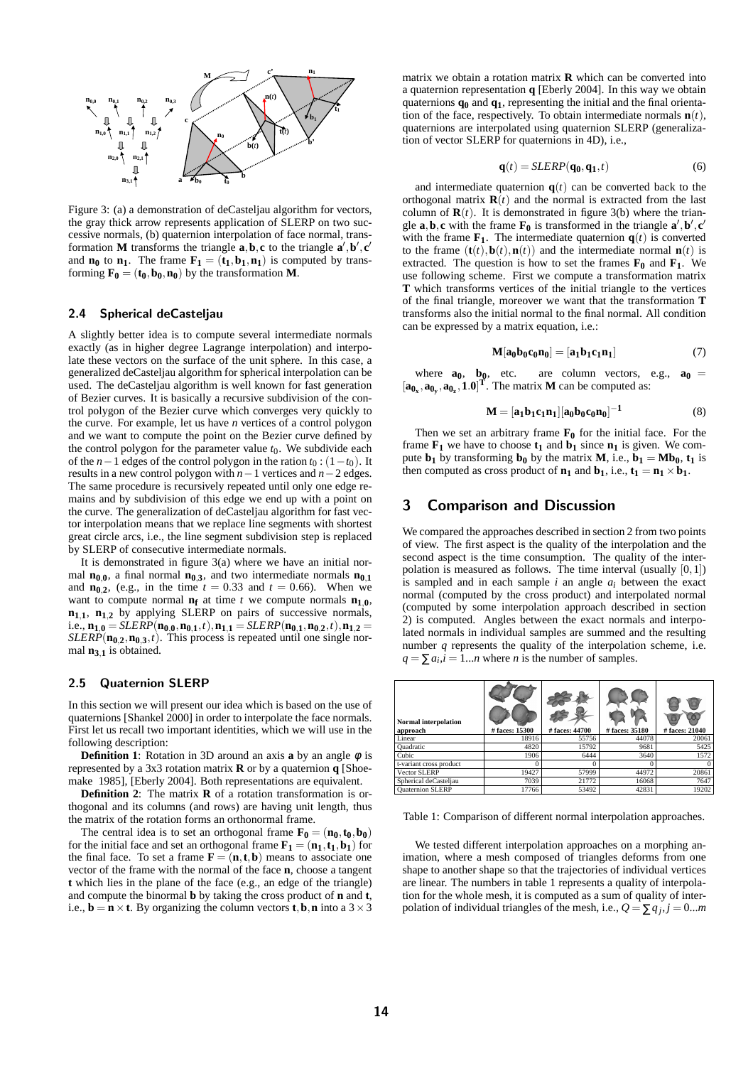

Figure 3: (a) a demonstration of deCasteljau algorithm for vectors, the gray thick arrow represents application of SLERP on two successive normals, (b) quaternion interpolation of face normal, transformation **M** transforms the triangle  $\mathbf{a}, \mathbf{b}, \mathbf{c}$  to the triangle  $\mathbf{a}', \mathbf{b}', \mathbf{c}'$ and  $\mathbf{n}_0$  to  $\mathbf{n}_1$ . The frame  $\mathbf{F}_1 = (\mathbf{t}_1, \mathbf{b}_1, \mathbf{n}_1)$  is computed by transforming  $\mathbf{F}_0 = (\mathbf{t}_0, \mathbf{b}_0, \mathbf{n}_0)$  by the transformation **M**.

### 2.4 Spherical deCasteljau

A slightly better idea is to compute several intermediate normals exactly (as in higher degree Lagrange interpolation) and interpolate these vectors on the surface of the unit sphere. In this case, a generalized deCasteljau algorithm for spherical interpolation can be used. The deCasteljau algorithm is well known for fast generation of Bezier curves. It is basically a recursive subdivision of the control polygon of the Bezier curve which converges very quickly to the curve. For example, let us have *n* vertices of a control polygon and we want to compute the point on the Bezier curve defined by the control polygon for the parameter value  $t_0$ . We subdivide each of the *n*−1 edges of the control polygon in the ration  $t_0$  : (1− $t_0$ ). It results in a new control polygon with *n*−1 vertices and *n*−2 edges. The same procedure is recursively repeated until only one edge remains and by subdivision of this edge we end up with a point on the curve. The generalization of deCasteljau algorithm for fast vector interpolation means that we replace line segments with shortest great circle arcs, i.e., the line segment subdivision step is replaced by SLERP of consecutive intermediate normals.

It is demonstrated in figure  $3(a)$  where we have an initial normal  $n_{0,0}$ , a final normal  $n_{0,3}$ , and two intermediate normals  $n_{0,1}$ and  $n_{0,2}$ , (e.g., in the time  $t = 0.33$  and  $t = 0.66$ ). When we want to compute normal  $n_f$  at time *t* we compute normals  $n_1$ , **<sup>n</sup>1**,**1**, **<sup>n</sup>1**,**<sup>2</sup>** by applying SLERP on pairs of successive normals, i.e.,  $\mathbf{n}_{1,0} = SLERP(\mathbf{n}_{0,0}, \mathbf{n}_{0,1}, t), \mathbf{n}_{1,1} = SLERP(\mathbf{n}_{0,1}, \mathbf{n}_{0,2}, t), \mathbf{n}_{1,2} =$  $SLERP(\mathbf{n}_{0,2}, \mathbf{n}_{0,3}, t)$ . This process is repeated until one single normal **<sup>n</sup>3**,**<sup>1</sup>** is obtained.

### 2.5 Quaternion SLERP

In this section we will present our idea which is based on the use of quaternions [Shankel 2000] in order to interpolate the face normals. First let us recall two important identities, which we will use in the following description:

**Definition 1**: Rotation in 3D around an axis **a** by an angle  $\phi$  is represented by a 3x3 rotation matrix **R** or by a quaternion **q** [Shoemake 1985], [Eberly 2004]. Both representations are equivalent.

**Definition 2**: The matrix **R** of a rotation transformation is orthogonal and its columns (and rows) are having unit length, thus the matrix of the rotation forms an orthonormal frame.

The central idea is to set an orthogonal frame  $\mathbf{F}_0 = (\mathbf{n}_0, \mathbf{t}_0, \mathbf{b}_0)$ for the initial face and set an orthogonal frame  $\mathbf{F}_1 = (\mathbf{n}_1, \mathbf{t}_1, \mathbf{b}_1)$  for the final face. To set a frame  $\mathbf{F} = (\mathbf{n}, \mathbf{t}, \mathbf{b})$  means to associate one vector of the frame with the normal of the face **n**, choose a tangent **t** which lies in the plane of the face (e.g., an edge of the triangle) and compute the binormal **b** by taking the cross product of **n** and **t**, i.e.,  $\mathbf{b} = \mathbf{n} \times \mathbf{t}$ . By organizing the column vectors **t**, **b**, **n** into a 3  $\times$  3

matrix we obtain a rotation matrix **R** which can be converted into a quaternion representation **q** [Eberly 2004]. In this way we obtain quaternions **q<sup>0</sup>** and **q1**, representing the initial and the final orientation of the face, respectively. To obtain intermediate normals  $\mathbf{n}(t)$ , quaternions are interpolated using quaternion SLERP (generalization of vector SLERP for quaternions in 4D), i.e.,

$$
\mathbf{q}(t) = SLERP(\mathbf{q_0}, \mathbf{q_1}, t) \tag{6}
$$

and intermediate quaternion  $q(t)$  can be converted back to the orthogonal matrix  $\mathbf{R}(t)$  and the normal is extracted from the last column of  $\mathbf{R}(t)$ . It is demonstrated in figure 3(b) where the triangle **a**, **b**, **c** with the frame **F**<sub>0</sub> is transformed in the triangle **a**', **b**', **c**' with the frame  $\mathbf{F}_1$ . The intermediate quaternion  $\mathbf{q}(t)$  is converted to the frame  $(\mathbf{t}(t), \mathbf{b}(t), \mathbf{n}(t))$  and the intermediate normal  $\mathbf{n}(t)$  is extracted. The question is how to set the frames  $\mathbf{F_0}$  and  $\mathbf{F_1}$ . We use following scheme. First we compute a transformation matrix **T** which transforms vertices of the initial triangle to the vertices of the final triangle, moreover we want that the transformation **T** transforms also the initial normal to the final normal. All condition can be expressed by a matrix equation, i.e.:

$$
\mathbf{M}[\mathbf{a}_0 \mathbf{b}_0 \mathbf{c}_0 \mathbf{n}_0] = [\mathbf{a}_1 \mathbf{b}_1 \mathbf{c}_1 \mathbf{n}_1] \tag{7}
$$

where  $\mathbf{a}_0$ ,  $\mathbf{b}_0$ , etc. are column vectors, e.g.,  $\mathbf{a}_0$  =  $[\mathbf{a}_{0_x}, \mathbf{a}_{0_y}, \mathbf{a}_{0_z}, \mathbf{1.0}]^T$ . The matrix **M** can be computed as:

$$
M = [a_1b_1c_1n_1][a_0b_0c_0n_0]^{-1}
$$
 (8)

Then we set an arbitrary frame  $\mathbf{F}_0$  for the initial face. For the frame  $\mathbf{F}_1$  we have to choose  $\mathbf{t}_1$  and  $\mathbf{b}_1$  since  $\mathbf{n}_1$  is given. We compute  $\mathbf{b}_1$  by transforming  $\mathbf{b}_0$  by the matrix **M**, i.e.,  $\mathbf{b}_1 = \mathbf{Mb}_0$ ,  $\mathbf{t}_1$  is then computed as cross product of  $n_1$  and  $b_1$ , i.e.,  $t_1 = n_1 \times b_1$ .

## 3 Comparison and Discussion

We compared the approaches described in section 2 from two points of view. The first aspect is the quality of the interpolation and the second aspect is the time consumption. The quality of the interpolation is measured as follows. The time interval (usually  $[0,1]$ ) is sampled and in each sample  $i$  an angle  $a_i$  between the exact normal (computed by the cross product) and interpolated normal (computed by some interpolation approach described in section 2) is computed. Angles between the exact normals and interpolated normals in individual samples are summed and the resulting number *q* represents the quality of the interpolation scheme, i.e.  $q = \sum a_i, i = 1...n$  where *n* is the number of samples.

| <b>Normal interpolation</b><br>approach | # faces: 15300 | # faces: 44700 | # faces: 35180 | # faces: 21040 |
|-----------------------------------------|----------------|----------------|----------------|----------------|
| Linear                                  | 18916          | 55756          | 44078          | 20061          |
| Ouadratic                               | 4820           | 15792          | 9681           | 5425           |
| Cubic                                   | 1906           | 6444           | 3640           | 1572           |
| t-variant cross product                 |                |                |                | $\Omega$       |
| Vector SLERP                            | 19427          | 57999          | 44972          | 20861          |
| Spherical deCasteljau                   | 7039           | 21772          | 16068          | 7647           |
| <b>Ouaternion SLERP</b>                 | 17766          | 53492          | 42831          | 19202          |

Table 1: Comparison of different normal interpolation approaches.

We tested different interpolation approaches on a morphing animation, where a mesh composed of triangles deforms from one shape to another shape so that the trajectories of individual vertices are linear. The numbers in table 1 represents a quality of interpolation for the whole mesh, it is computed as a sum of quality of interpolation of individual triangles of the mesh, i.e.,  $Q = \sum q_j$ ,  $j = 0...m$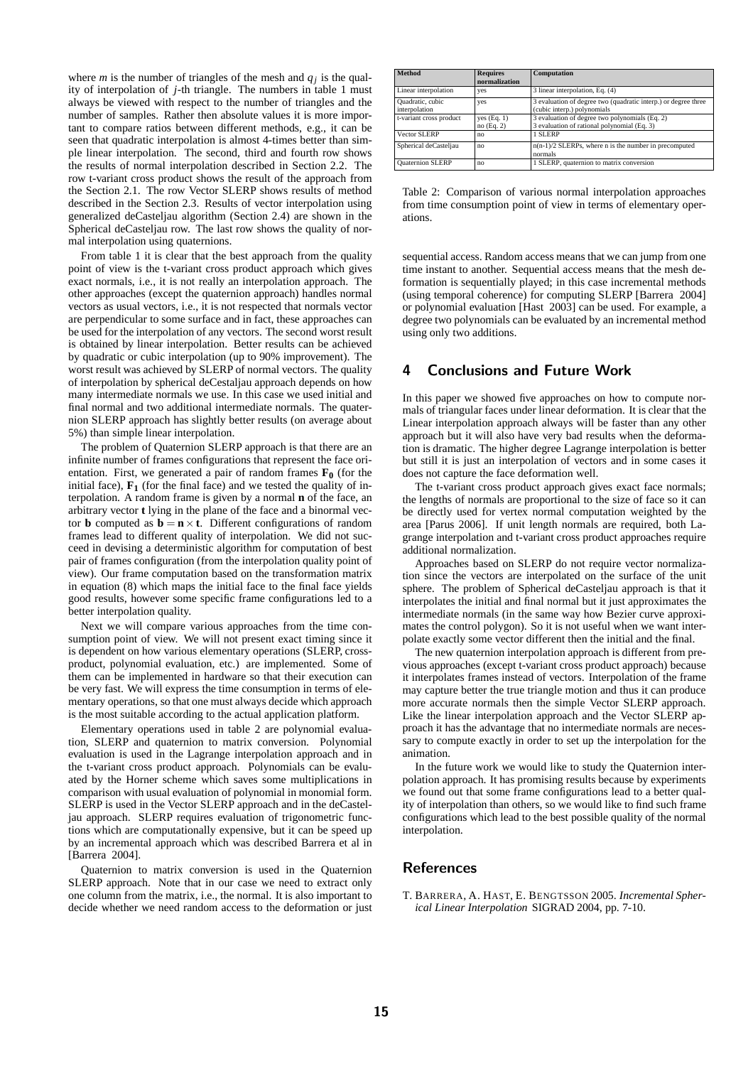where *m* is the number of triangles of the mesh and  $q_j$  is the quality of interpolation of *j*-th triangle. The numbers in table 1 must always be viewed with respect to the number of triangles and the number of samples. Rather then absolute values it is more important to compare ratios between different methods, e.g., it can be seen that quadratic interpolation is almost 4-times better than simple linear interpolation. The second, third and fourth row shows the results of normal interpolation described in Section 2.2. The row t-variant cross product shows the result of the approach from the Section 2.1. The row Vector SLERP shows results of method described in the Section 2.3. Results of vector interpolation using generalized deCasteljau algorithm (Section 2.4) are shown in the Spherical deCasteljau row. The last row shows the quality of normal interpolation using quaternions.

From table 1 it is clear that the best approach from the quality point of view is the t-variant cross product approach which gives exact normals, i.e., it is not really an interpolation approach. The other approaches (except the quaternion approach) handles normal vectors as usual vectors, i.e., it is not respected that normals vector are perpendicular to some surface and in fact, these approaches can be used for the interpolation of any vectors. The second worst result is obtained by linear interpolation. Better results can be achieved by quadratic or cubic interpolation (up to 90% improvement). The worst result was achieved by SLERP of normal vectors. The quality of interpolation by spherical deCestaljau approach depends on how many intermediate normals we use. In this case we used initial and final normal and two additional intermediate normals. The quaternion SLERP approach has slightly better results (on average about 5%) than simple linear interpolation.

The problem of Quaternion SLERP approach is that there are an infinite number of frames configurations that represent the face orientation. First, we generated a pair of random frames  $\mathbf{F}_0$  (for the initial face),  $\mathbf{F}_1$  (for the final face) and we tested the quality of interpolation. A random frame is given by a normal **n** of the face, an arbitrary vector **t** lying in the plane of the face and a binormal vector **b** computed as  $\mathbf{b} = \mathbf{n} \times \mathbf{t}$ . Different configurations of random frames lead to different quality of interpolation. We did not succeed in devising a deterministic algorithm for computation of best pair of frames configuration (from the interpolation quality point of view). Our frame computation based on the transformation matrix in equation (8) which maps the initial face to the final face yields good results, however some specific frame configurations led to a better interpolation quality.

Next we will compare various approaches from the time consumption point of view. We will not present exact timing since it is dependent on how various elementary operations (SLERP, crossproduct, polynomial evaluation, etc.) are implemented. Some of them can be implemented in hardware so that their execution can be very fast. We will express the time consumption in terms of elementary operations, so that one must always decide which approach is the most suitable according to the actual application platform.

Elementary operations used in table 2 are polynomial evaluation, SLERP and quaternion to matrix conversion. Polynomial evaluation is used in the Lagrange interpolation approach and in the t-variant cross product approach. Polynomials can be evaluated by the Horner scheme which saves some multiplications in comparison with usual evaluation of polynomial in monomial form. SLERP is used in the Vector SLERP approach and in the deCasteljau approach. SLERP requires evaluation of trigonometric functions which are computationally expensive, but it can be speed up by an incremental approach which was described Barrera et al in [Barrera 2004].

Quaternion to matrix conversion is used in the Quaternion SLERP approach. Note that in our case we need to extract only one column from the matrix, i.e., the normal. It is also important to decide whether we need random access to the deformation or just

| <b>Method</b>                     | <b>Requires</b><br>normalization | Computation                                                                                   |
|-----------------------------------|----------------------------------|-----------------------------------------------------------------------------------------------|
| Linear interpolation              | yes                              | 3 linear interpolation, Eq. (4)                                                               |
| Quadratic, cubic<br>interpolation | yes                              | 3 evaluation of degree two (quadratic interp.) or degree three<br>(cubic interp.) polynomials |
| t-variant cross product           | yes $(Eq. 1)$<br>no(Eq. 2)       | 3 evaluation of degree two polynomials (Eq. 2)<br>3 evaluation of rational polynomial (Eq. 3) |
| Vector SLERP                      | no                               | 1 SLERP                                                                                       |
| Spherical deCasteljau             | no                               | $n(n-1)/2$ SLERPs, where n is the number in precomputed<br>normals                            |
| <b>Ouaternion SLERP</b>           | no                               | 1 SLERP, quaternion to matrix conversion                                                      |

Table 2: Comparison of various normal interpolation approaches from time consumption point of view in terms of elementary operations.

sequential access. Random access means that we can jump from one time instant to another. Sequential access means that the mesh deformation is sequentially played; in this case incremental methods (using temporal coherence) for computing SLERP [Barrera 2004] or polynomial evaluation [Hast 2003] can be used. For example, a degree two polynomials can be evaluated by an incremental method using only two additions.

# 4 Conclusions and Future Work

In this paper we showed five approaches on how to compute normals of triangular faces under linear deformation. It is clear that the Linear interpolation approach always will be faster than any other approach but it will also have very bad results when the deformation is dramatic. The higher degree Lagrange interpolation is better but still it is just an interpolation of vectors and in some cases it does not capture the face deformation well.

The t-variant cross product approach gives exact face normals; the lengths of normals are proportional to the size of face so it can be directly used for vertex normal computation weighted by the area [Parus 2006]. If unit length normals are required, both Lagrange interpolation and t-variant cross product approaches require additional normalization.

Approaches based on SLERP do not require vector normalization since the vectors are interpolated on the surface of the unit sphere. The problem of Spherical deCasteljau approach is that it interpolates the initial and final normal but it just approximates the intermediate normals (in the same way how Bezier curve approximates the control polygon). So it is not useful when we want interpolate exactly some vector different then the initial and the final.

The new quaternion interpolation approach is different from previous approaches (except t-variant cross product approach) because it interpolates frames instead of vectors. Interpolation of the frame may capture better the true triangle motion and thus it can produce more accurate normals then the simple Vector SLERP approach. Like the linear interpolation approach and the Vector SLERP approach it has the advantage that no intermediate normals are necessary to compute exactly in order to set up the interpolation for the animation.

In the future work we would like to study the Quaternion interpolation approach. It has promising results because by experiments we found out that some frame configurations lead to a better quality of interpolation than others, so we would like to find such frame configurations which lead to the best possible quality of the normal interpolation.

## References

T. BARRERA, A. HAST, E. BENGTSSON 2005. *Incremental Spherical Linear Interpolation* SIGRAD 2004, pp. 7-10.